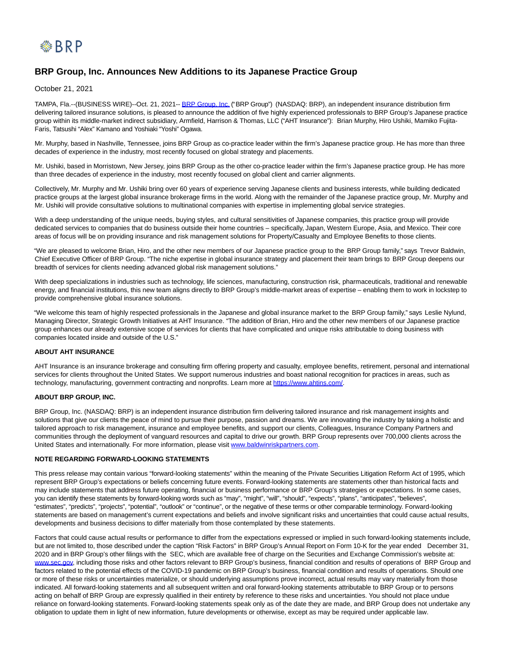

# **BRP Group, Inc. Announces New Additions to its Japanese Practice Group**

October 21, 2021

TAMPA, Fla.--(BUSINESS WIRE)--Oct. 21, 2021-[- BRP Group, Inc. \(](https://cts.businesswire.com/ct/CT?id=smartlink&url=https%3A%2F%2Fbaldwinriskpartners.com%2F&esheet=52513618&newsitemid=20211021006052&lan=en-US&anchor=BRP+Group%2C+Inc.&index=1&md5=3342b5a94d24cb8f7deeec8d43492427)"BRP Group") (NASDAQ: BRP), an independent insurance distribution firm delivering tailored insurance solutions, is pleased to announce the addition of five highly experienced professionals to BRP Group's Japanese practice group within its middle-market indirect subsidiary, Armfield, Harrison & Thomas, LLC ("AHT Insurance"): Brian Murphy, Hiro Ushiki, Mamiko Fujita-Faris, Tatsushi "Alex" Kamano and Yoshiaki "Yoshi" Ogawa.

Mr. Murphy, based in Nashville, Tennessee, joins BRP Group as co-practice leader within the firm's Japanese practice group. He has more than three decades of experience in the industry, most recently focused on global strategy and placements.

Mr. Ushiki, based in Morristown, New Jersey, joins BRP Group as the other co-practice leader within the firm's Japanese practice group. He has more than three decades of experience in the industry, most recently focused on global client and carrier alignments.

Collectively, Mr. Murphy and Mr. Ushiki bring over 60 years of experience serving Japanese clients and business interests, while building dedicated practice groups at the largest global insurance brokerage firms in the world. Along with the remainder of the Japanese practice group, Mr. Murphy and Mr. Ushiki will provide consultative solutions to multinational companies with expertise in implementing global service strategies.

With a deep understanding of the unique needs, buying styles, and cultural sensitivities of Japanese companies, this practice group will provide dedicated services to companies that do business outside their home countries – specifically, Japan, Western Europe, Asia, and Mexico. Their core areas of focus will be on providing insurance and risk management solutions for Property/Casualty and Employee Benefits to those clients.

"We are pleased to welcome Brian, Hiro, and the other new members of our Japanese practice group to the BRP Group family," says Trevor Baldwin, Chief Executive Officer of BRP Group. "The niche expertise in global insurance strategy and placement their team brings to BRP Group deepens our breadth of services for clients needing advanced global risk management solutions."

With deep specializations in industries such as technology, life sciences, manufacturing, construction risk, pharmaceuticals, traditional and renewable energy, and financial institutions, this new team aligns directly to BRP Group's middle-market areas of expertise – enabling them to work in lockstep to provide comprehensive global insurance solutions.

"We welcome this team of highly respected professionals in the Japanese and global insurance market to the BRP Group family," says Leslie Nylund, Managing Director, Strategic Growth Initiatives at AHT Insurance. "The addition of Brian, Hiro and the other new members of our Japanese practice group enhances our already extensive scope of services for clients that have complicated and unique risks attributable to doing business with companies located inside and outside of the U.S."

## **ABOUT AHT INSURANCE**

AHT Insurance is an insurance brokerage and consulting firm offering property and casualty, employee benefits, retirement, personal and international services for clients throughout the United States. We support numerous industries and boast national recognition for practices in areas, such as technology, manufacturing, government contracting and nonprofits. Learn more at [https://www.ahtins.com/.](https://cts.businesswire.com/ct/CT?id=smartlink&url=https%3A%2F%2Fwww.ahtins.com%2F&esheet=52513618&newsitemid=20211021006052&lan=en-US&anchor=https%3A%2F%2Fwww.ahtins.com%2F&index=2&md5=bb07fb00dee122a70f54041073d433ad)

## **ABOUT BRP GROUP, INC.**

BRP Group, Inc. (NASDAQ: BRP) is an independent insurance distribution firm delivering tailored insurance and risk management insights and solutions that give our clients the peace of mind to pursue their purpose, passion and dreams. We are innovating the industry by taking a holistic and tailored approach to risk management, insurance and employee benefits, and support our clients, Colleagues, Insurance Company Partners and communities through the deployment of vanguard resources and capital to drive our growth. BRP Group represents over 700,000 clients across the United States and internationally. For more information, please visit [www.baldwinriskpartners.com.](https://cts.businesswire.com/ct/CT?id=smartlink&url=http%3A%2F%2Fwww.baldwinriskpartners.com&esheet=52513618&newsitemid=20211021006052&lan=en-US&anchor=www.baldwinriskpartners.com&index=3&md5=524da24b28295a605f11b2b4267d59c1)

#### **NOTE REGARDING FORWARD-LOOKING STATEMENTS**

This press release may contain various "forward-looking statements" within the meaning of the Private Securities Litigation Reform Act of 1995, which represent BRP Group's expectations or beliefs concerning future events. Forward-looking statements are statements other than historical facts and may include statements that address future operating, financial or business performance or BRP Group's strategies or expectations. In some cases, you can identify these statements by forward-looking words such as "may", "might", "will", "should", "expects", "plans", "anticipates", "believes", "estimates", "predicts", "projects", "potential", "outlook" or "continue", or the negative of these terms or other comparable terminology. Forward-looking statements are based on management's current expectations and beliefs and involve significant risks and uncertainties that could cause actual results, developments and business decisions to differ materially from those contemplated by these statements.

Factors that could cause actual results or performance to differ from the expectations expressed or implied in such forward-looking statements include, but are not limited to, those described under the caption "Risk Factors" in BRP Group's Annual Report on Form 10-K for the year ended December 31, 2020 and in BRP Group's other filings with the SEC, which are available free of charge on the Securities and Exchange Commission's website at: [www.sec.gov,](https://cts.businesswire.com/ct/CT?id=smartlink&url=https%3A%2F%2Fwww.globenewswire.com%2FTracker%3Fdata%3Dsjd9x5XDjhW4ffu94Alu85_3EFnIxeYZ8KL4e999gb05EHjrWWGYC8JUjCYk-2eae2aYM6kxsMIrAjGOUha0LbrrcE4qMsarGafnLw7ztU3zeADe05OkWex5JETyfPBBtyS-5xr-BGbrWKZt83ZL4w%3D%3D&esheet=52513618&newsitemid=20211021006052&lan=en-US&anchor=www.sec.gov&index=4&md5=880af2d388a2d73978909dc6d11f17a9) including those risks and other factors relevant to BRP Group's business, financial condition and results of operations of BRP Group and factors related to the potential effects of the COVID-19 pandemic on BRP Group's business, financial condition and results of operations. Should one or more of these risks or uncertainties materialize, or should underlying assumptions prove incorrect, actual results may vary materially from those indicated. All forward-looking statements and all subsequent written and oral forward-looking statements attributable to BRP Group or to persons acting on behalf of BRP Group are expressly qualified in their entirety by reference to these risks and uncertainties. You should not place undue reliance on forward-looking statements. Forward-looking statements speak only as of the date they are made, and BRP Group does not undertake any obligation to update them in light of new information, future developments or otherwise, except as may be required under applicable law.